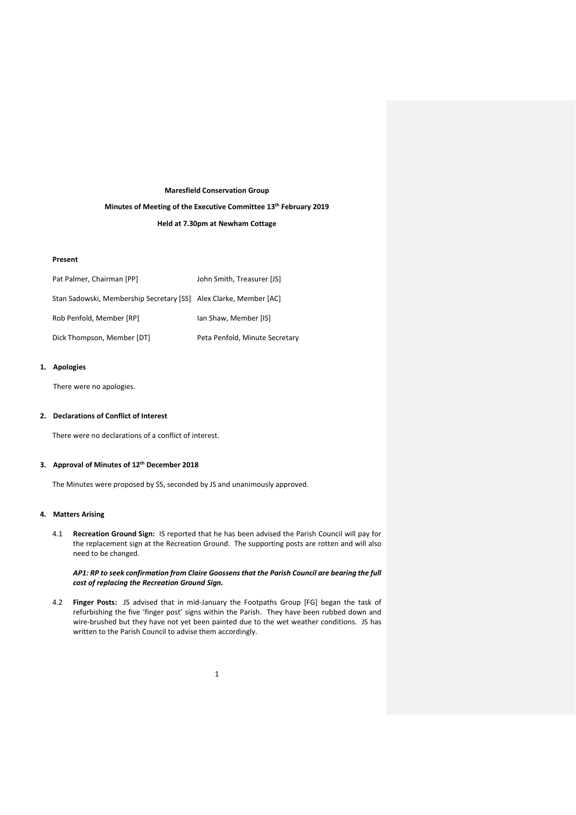### **Maresfield Conservation Group**

#### **Minutes of Meeting of the Executive Committee 13 th February 2019**

**Held at 7.30pm at Newham Cottage**

## **Present**

| Pat Palmer, Chairman [PP]                                         | John Smith, Treasurer [JS]     |
|-------------------------------------------------------------------|--------------------------------|
| Stan Sadowski, Membership Secretary [SS] Alex Clarke, Member [AC] |                                |
| Rob Penfold, Member [RP]                                          | Ian Shaw, Member [IS]          |
| Dick Thompson, Member [DT]                                        | Peta Penfold, Minute Secretary |

## **1. Apologies**

There were no apologies.

## **2. Declarations of Conflict of Interest**

There were no declarations of a conflict of interest.

# **3. Approval of Minutes of 12th December 2018**

The Minutes were proposed by SS, seconded by JS and unanimously approved.

## **4. Matters Arising**

4.1 **Recreation Ground Sign:** IS reported that he has been advised the Parish Council will pay for the replacement sign at the Recreation Ground. The supporting posts are rotten and will also need to be changed.

## *AP1: RP to seek confirmation from Claire Goossensthat the Parish Council are bearing the full cost of replacing the Recreation Ground Sign.*

4.2 **Finger Posts:** JS advised that in mid-January the Footpaths Group [FG] began the task of refurbishing the five 'finger post' signs within the Parish. They have been rubbed down and wire-brushed but they have not yet been painted due to the wet weather conditions. JS has written to the Parish Council to advise them accordingly.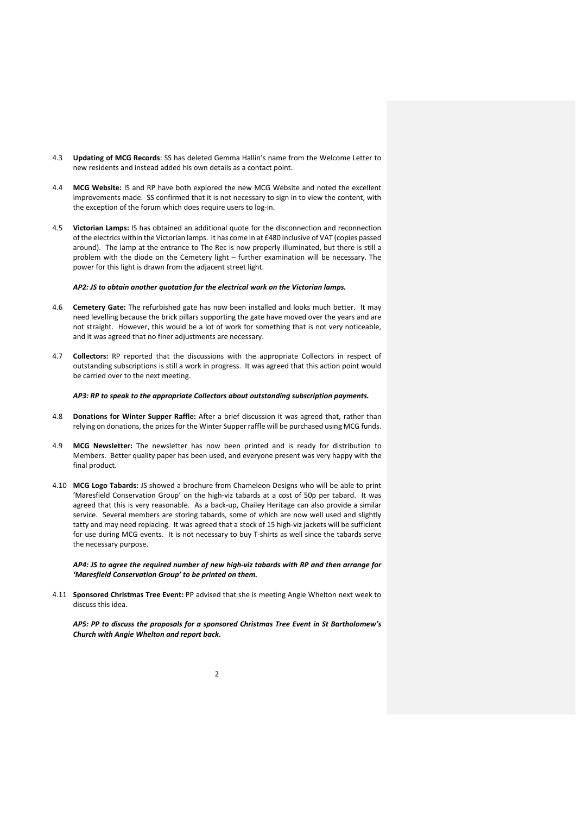- 4.3 **Updating of MCG Records**: SS has deleted Gemma Hallin's name from the Welcome Letter to new residents and instead added his own details as a contact point.
- 4.4 **MCG Website:** IS and RP have both explored the new MCG Website and noted the excellent improvements made. SS confirmed that it is not necessary to sign in to view the content, with the exception of the forum which does require users to log-in.
- 4.5 **Victorian Lamps:** IS has obtained an additional quote for the disconnection and reconnection of the electrics within the Victorian lamps. It has come in at £480 inclusive of VAT (copies passed around). The lamp at the entrance to The Rec is now properly illuminated, but there is still a problem with the diode on the Cemetery light – further examination will be necessary. The power for this light is drawn from the adjacent street light.

#### *AP2: JS to obtain another quotation for the electrical work on the Victorian lamps.*

- 4.6 **Cemetery Gate:** The refurbished gate has now been installed and looks much better. It may need levelling because the brick pillars supporting the gate have moved over the years and are not straight. However, this would be a lot of work for something that is not very noticeable, and it was agreed that no finer adjustments are necessary.
- 4.7 **Collectors:** RP reported that the discussions with the appropriate Collectors in respect of outstanding subscriptions is still a work in progress. It was agreed that this action point would be carried over to the next meeting.

#### *AP3: RP to speak to the appropriate Collectors about outstanding subscription payments.*

- 4.8 **Donations for Winter Supper Raffle:** After a brief discussion it was agreed that, rather than relying on donations, the prizes for the Winter Supper raffle will be purchased using MCG funds.
- 4.9 **MCG Newsletter:** The newsletter has now been printed and is ready for distribution to Members. Better quality paper has been used, and everyone present was very happy with the final product.
- 4.10 **MCG Logo Tabards:** JS showed a brochure from Chameleon Designs who will be able to print 'Maresfield Conservation Group' on the high-viz tabards at a cost of 50p per tabard. It was agreed that this is very reasonable. As a back-up, Chailey Heritage can also provide a similar service. Several members are storing tabards, some of which are now well used and slightly tatty and may need replacing. It was agreed that a stock of 15 high-viz jackets will be sufficient for use during MCG events. It is not necessary to buy T-shirts as well since the tabards serve the necessary purpose.

*AP4: JS to agree the required number of new high-viz tabards with RP and then arrange for 'Maresfield Conservation Group' to be printed on them.*

4.11 **Sponsored Christmas Tree Event:** PP advised that she is meeting Angie Whelton next week to discuss this idea.

*AP5: PP to discuss the proposals for a sponsored Christmas Tree Event in St Bartholomew's Church with Angie Whelton and report back.*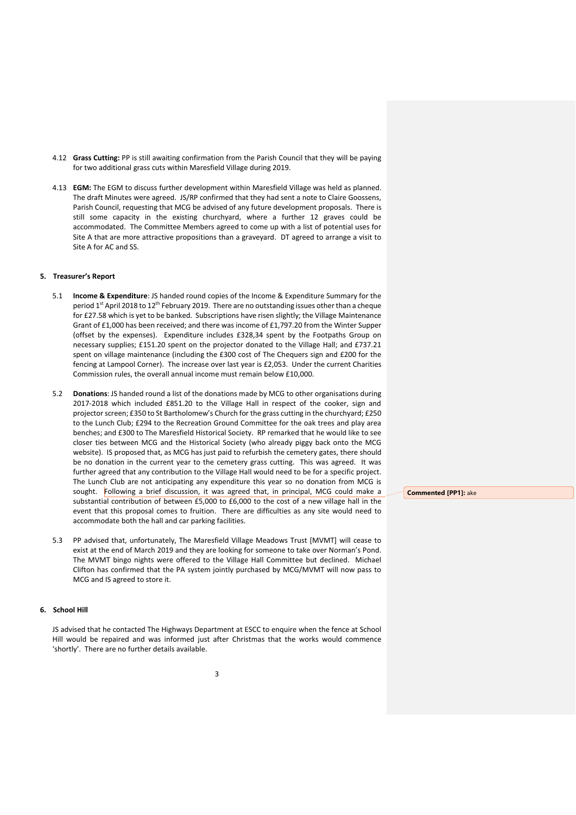- 4.12 **Grass Cutting:** PP is still awaiting confirmation from the Parish Council that they will be paying for two additional grass cuts within Maresfield Village during 2019.
- 4.13 **EGM:** The EGM to discuss further development within Maresfield Village was held as planned. The draft Minutes were agreed. JS/RP confirmed that they had sent a note to Claire Goossens, Parish Council, requesting that MCG be advised of any future development proposals. There is still some capacity in the existing churchyard, where a further 12 graves could be accommodated. The Committee Members agreed to come up with a list of potential uses for Site A that are more attractive propositions than a graveyard. DT agreed to arrange a visit to Site A for AC and SS.

#### **5. Treasurer's Report**

- 5.1 **Income & Expenditure**: JS handed round copies of the Income & Expenditure Summary for the period 1<sup>st</sup> April 2018 to 12<sup>th</sup> February 2019. There are no outstanding issues other than a cheque for £27.58 which is yet to be banked. Subscriptions have risen slightly; the Village Maintenance Grant of £1,000 has been received; and there was income of £1,797.20 from the Winter Supper (offset by the expenses). Expenditure includes £328,34 spent by the Footpaths Group on necessary supplies; £151.20 spent on the projector donated to the Village Hall; and £737.21 spent on village maintenance (including the £300 cost of The Chequers sign and £200 for the fencing at Lampool Corner). The increase over last year is £2,053. Under the current Charities Commission rules, the overall annual income must remain below £10,000.
- 5.2 **Donations**: JS handed round a list of the donations made by MCG to other organisations during 2017-2018 which included £851.20 to the Village Hall in respect of the cooker, sign and projector screen; £350 to St Bartholomew's Church for the grass cutting in the churchyard; £250 to the Lunch Club; £294 to the Recreation Ground Committee for the oak trees and play area benches; and £300 to The Maresfield Historical Society. RP remarked that he would like to see closer ties between MCG and the Historical Society (who already piggy back onto the MCG website). IS proposed that, as MCG has just paid to refurbish the cemetery gates, there should be no donation in the current year to the cemetery grass cutting. This was agreed. It was further agreed that any contribution to the Village Hall would need to be for a specific project. The Lunch Club are not anticipating any expenditure this year so no donation from MCG is sought. Following a brief discussion, it was agreed that, in principal, MCG could make a substantial contribution of between £5,000 to £6,000 to the cost of a new village hall in the event that this proposal comes to fruition. There are difficulties as any site would need to accommodate both the hall and car parking facilities.
- 5.3 PP advised that, unfortunately, The Maresfield Village Meadows Trust [MVMT] will cease to exist at the end of March 2019 and they are looking for someone to take over Norman's Pond. The MVMT bingo nights were offered to the Village Hall Committee but declined. Michael Clifton has confirmed that the PA system jointly purchased by MCG/MVMT will now pass to MCG and IS agreed to store it.

## **6. School Hill**

JS advised that he contacted The Highways Department at ESCC to enquire when the fence at School Hill would be repaired and was informed just after Christmas that the works would commence 'shortly'. There are no further details available.

**Commented [PP1]:** ake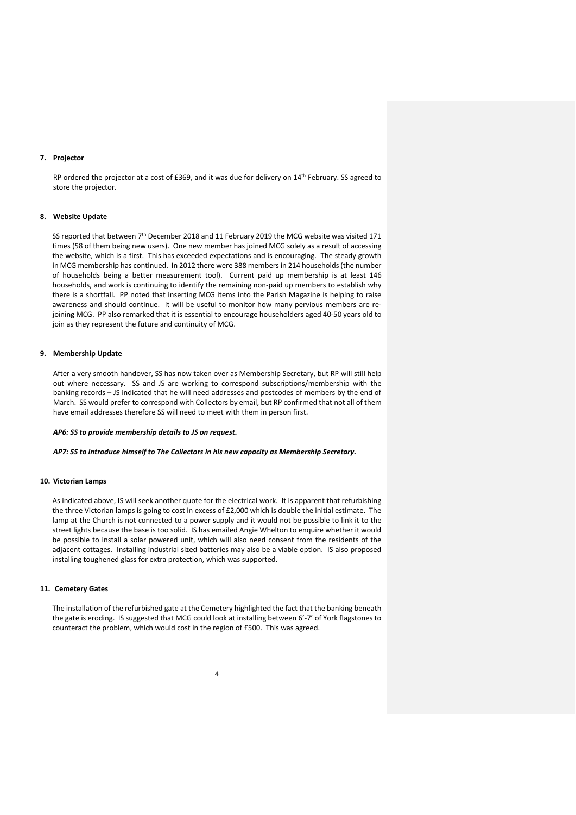### **7. Projector**

RP ordered the projector at a cost of £369, and it was due for delivery on 14<sup>th</sup> February. SS agreed to store the projector.

### **8. Website Update**

SS reported that between 7<sup>th</sup> December 2018 and 11 February 2019 the MCG website was visited 171 times (58 of them being new users). One new member has joined MCG solely as a result of accessing the website, which is a first. This has exceeded expectations and is encouraging. The steady growth in MCG membership has continued. In 2012 there were 388 members in 214 households (the number of households being a better measurement tool). Current paid up membership is at least 146 households, and work is continuing to identify the remaining non-paid up members to establish why there is a shortfall. PP noted that inserting MCG items into the Parish Magazine is helping to raise awareness and should continue. It will be useful to monitor how many pervious members are rejoining MCG. PP also remarked that it is essential to encourage householders aged 40-50 years old to join as they represent the future and continuity of MCG.

### **9. Membership Update**

After a very smooth handover, SS has now taken over as Membership Secretary, but RP will still help out where necessary. SS and JS are working to correspond subscriptions/membership with the banking records – JS indicated that he will need addresses and postcodes of members by the end of March. SS would prefer to correspond with Collectors by email, but RP confirmed that not all of them have email addresses therefore SS will need to meet with them in person first.

#### *AP6: SS to provide membership details to JS on request.*

#### *AP7: SS to introduce himself to The Collectors in his new capacity as Membership Secretary.*

## **10. Victorian Lamps**

As indicated above, IS will seek another quote for the electrical work. It is apparent that refurbishing the three Victorian lamps is going to cost in excess of £2,000 which is double the initial estimate. The lamp at the Church is not connected to a power supply and it would not be possible to link it to the street lights because the base is too solid. IS has emailed Angie Whelton to enquire whether it would be possible to install a solar powered unit, which will also need consent from the residents of the adjacent cottages. Installing industrial sized batteries may also be a viable option. IS also proposed installing toughened glass for extra protection, which was supported.

#### **11. Cemetery Gates**

The installation of the refurbished gate at the Cemetery highlighted the fact that the banking beneath the gate is eroding. IS suggested that MCG could look at installing between 6'-7' of York flagstones to counteract the problem, which would cost in the region of £500. This was agreed.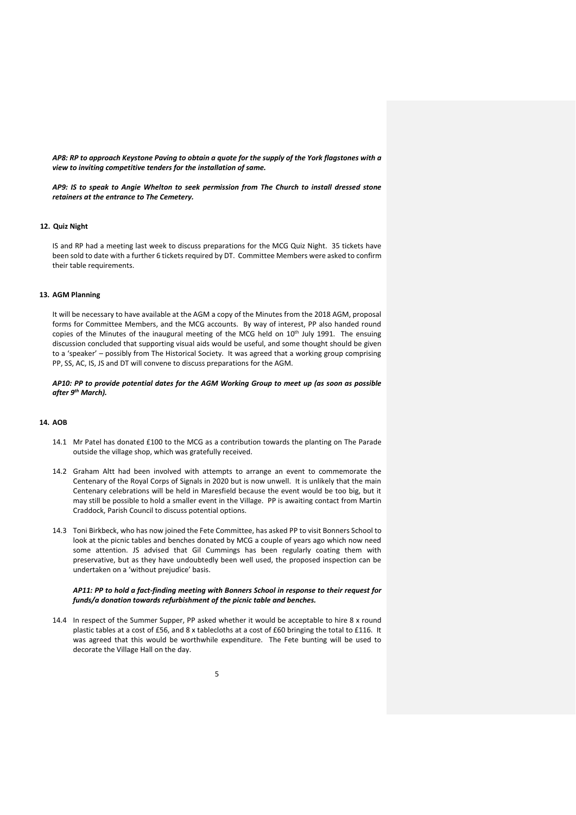*AP8: RP to approach Keystone Paving to obtain a quote for the supply of the York flagstones with a view to inviting competitive tenders for the installation of same.* 

*AP9: IS to speak to Angie Whelton to seek permission from The Church to install dressed stone retainers at the entrance to The Cemetery.*

### **12. Quiz Night**

IS and RP had a meeting last week to discuss preparations for the MCG Quiz Night. 35 tickets have been sold to date with a further 6 tickets required by DT. Committee Members were asked to confirm their table requirements.

### **13. AGM Planning**

It will be necessary to have available at the AGM a copy of the Minutes from the 2018 AGM, proposal forms for Committee Members, and the MCG accounts. By way of interest, PP also handed round copies of the Minutes of the inaugural meeting of the MCG held on 10<sup>th</sup> July 1991. The ensuing discussion concluded that supporting visual aids would be useful, and some thought should be given to a 'speaker' – possibly from The Historical Society. It was agreed that a working group comprising PP, SS, AC, IS, JS and DT will convene to discuss preparations for the AGM.

*AP10: PP to provide potential dates for the AGM Working Group to meet up (as soon as possible after 9th March).*

### **14. AOB**

- 14.1 Mr Patel has donated £100 to the MCG as a contribution towards the planting on The Parade outside the village shop, which was gratefully received.
- 14.2 Graham Altt had been involved with attempts to arrange an event to commemorate the Centenary of the Royal Corps of Signals in 2020 but is now unwell. It is unlikely that the main Centenary celebrations will be held in Maresfield because the event would be too big, but it may still be possible to hold a smaller event in the Village. PP is awaiting contact from Martin Craddock, Parish Council to discuss potential options.
- 14.3 Toni Birkbeck, who has now joined the Fete Committee, has asked PP to visit Bonners School to look at the picnic tables and benches donated by MCG a couple of years ago which now need some attention. JS advised that Gil Cummings has been regularly coating them with preservative, but as they have undoubtedly been well used, the proposed inspection can be undertaken on a 'without prejudice' basis.

### *AP11: PP to hold a fact-finding meeting with Bonners School in response to their request for funds/a donation towards refurbishment of the picnic table and benches.*

14.4 In respect of the Summer Supper, PP asked whether it would be acceptable to hire 8 x round plastic tables at a cost of £56, and 8 x tablecloths at a cost of £60 bringing the total to £116. It was agreed that this would be worthwhile expenditure. The Fete bunting will be used to decorate the Village Hall on the day.